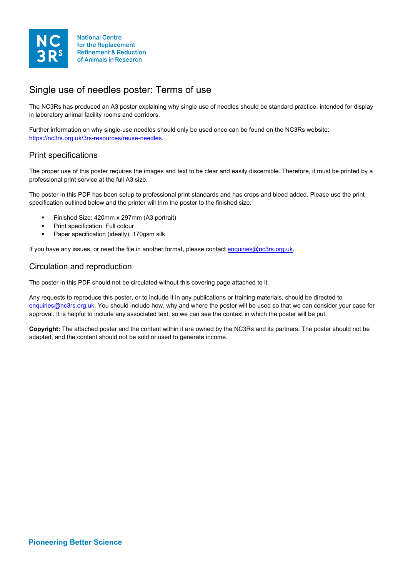

for the Replacement **Refinement & Reduction** of Animals in Research

### Single use of needles poster: Terms of use

The NC3Rs has produced an A3 poster explaining why single use of needles should be standard practice, intended for display in laboratory animal facility rooms and corridors.

Further information on why single-use needles should only be used once can be found on the NC3Rs website: [https://nc3rs.org.uk/3rs-resources/reuse-needles.](https://nc3rs.org.uk/3rs-resources/reuse-needles)

#### Print specifications

The proper use of this poster requires the images and text to be clear and easily discernible. Therefore, it must be printed by a professional print service at the full A3 size.

The poster in this PDF has been setup to professional print standards and has crops and bleed added. Please use the print specification outlined below and the printer will trim the poster to the finished size.

- Finished Size: 420mm x 297mm (A3 portrait)
- Print specification: Full colour
- Paper specification (ideally): 170gsm silk

If you have any issues, or need the file in another format, please contact [enquiries@nc3rs.org.uk.](mailto:enquiries@nc3rs.org.uk)

#### Circulation and reproduction

The poster in this PDF should not be circulated without this covering page attached to it.

Any requests to reproduce this poster, or to include it in any publications or training materials, should be directed to [enquiries@nc3rs.org.uk.](mailto:enquiries@nc3rs.org.uk) You should include how, why and where the poster will be used so that we can consider your case for approval. It is helpful to include any associated text, so we can see the context in which the poster will be put.

**Copyright:** The attached poster and the content within it are owned by the NC3Rs and its partners. The poster should not be adapted, and the content should not be sold or used to generate income.